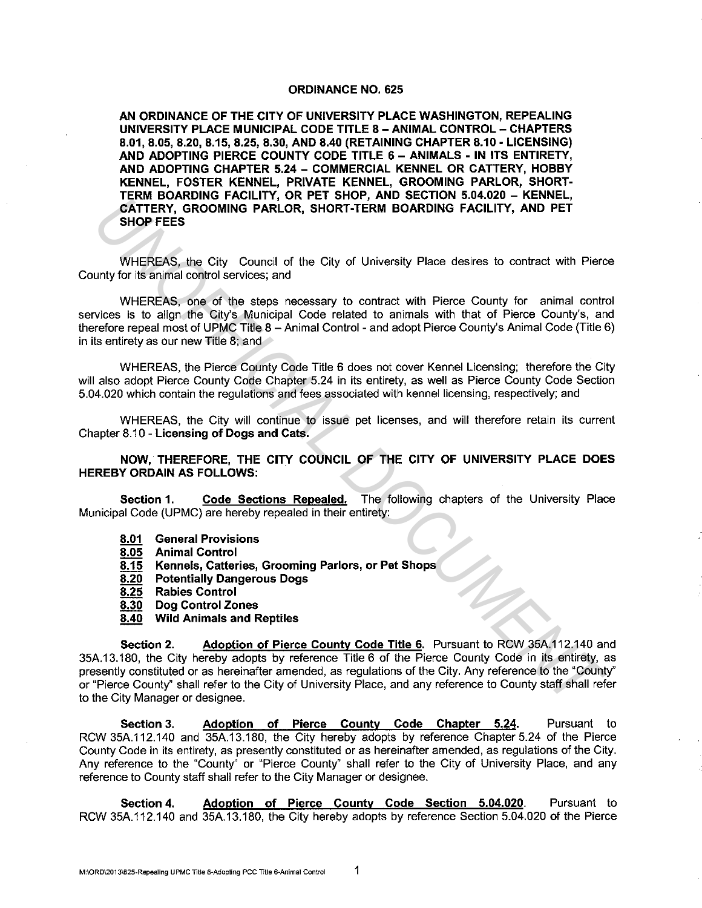## **ORDINANCE NO. 625**

**AN ORDINANCE OF THE CITY OF UNIVERSITY PLACE WASHINGTON, REPEALING UNIVERSITY PLACE MUNICIPAL CODE TITLE 8 - ANIMAL CONTROL - CHAPTERS 8.01, 8.05, 8.20, 8.15, 8.25, 8.30, AND 8.40 (RETAINING CHAPTER 8.10 ·LICENSING) AND ADOPTING PIERCE COUNTY CODE TITLE 6 - ANIMALS • IN ITS ENTIRETY, AND ADOPTING CHAPTER 5.24 - COMMERCIAL KENNEL OR CATTERY, HOBBY KENNEL, FOSTER KENNEL, PRIVATE KENNEL, GROOMING PARLOR, SHORT· TERM BOARDING FACILITY, OR PET SHOP, AND SECTION 5.04.020 - KENNEL, CATTERY, GROOMING PARLOR, SHORT-TERM BOARDING FACILITY, AND PET SHOP FEES** 

WHEREAS, the City Council of the City of University Place desires to contract with Pierce County for its animal control services; and

WHEREAS, one of the steps necessary to contract with Pierce County for animal control services is to align the City's Municipal Code related to animals with that of Pierce County's, and therefore repeal most of UPMC Title 8 - Animal Control - and adopt Pierce County's Animal Code (Title 6) in its entirety as our new Title 8; and

WHEREAS, the Pierce County Code Title 6 does not cover Kennel Licensing; therefore the City will also adopt Pierce County Code Chapter 5.24 in its entirety, as well as Pierce County Code Section 5.04.020 which contain the regulations and fees associated with kennel licensing, respectively; and

WHEREAS, the City will continue to issue pet licenses, and will therefore retain its current Chapter 8.10 - **Licensing of Dogs and Cats.** 

**NOW, THEREFORE, THE CITY COUNCIL OF THE CITY OF UNIVERSITY PLACE DOES HEREBY ORDAIN AS FOLLOWS:** 

**Section 1. Code Sections Repealed.** The following chapters of the University Place Municipal Code (UPMC) are hereby repealed in their entirety:

- **8.01 General Provisions**
- **8.05 Animal Control**
- **8.15 Kennels, Catteries, Grooming Parlors, or Pet Shops**
- **8.20 Potentially Dangerous Dogs**
- **8.25 Rabies Control**
- **8.30 Dog Control Zones**
- **8.40 Wild Animals and Reptiles**

**Section 2.** Adoption of Pierce County Code Title 6. Pursuant to RCW 35A.112.140 and 35A.13.180, the City hereby adopts by reference Title 6 of the Pierce County Code in its entirety, as presently constituted or as hereinafter amended, as regulations of the City. Any reference to the "County" or "Pierce County" shall refer to the City of University Place, and any reference to County staff shall refer to the City Manager or designee. **EXAMPLE REAS, one of the since of the Solution FACILITY, AND PET**<br> **UNITERY, GROOMING FARLIOR, SHORT-TERM BOARDING FACILITY, AND PET**<br>
SHOP FEES<br>
WHEREAS, the City Cunnell of the City of University Place desires to contra

**Section 3. Adoption of Pierce County Code Chapter 5.24.** Pursuant to RCW 35A.112.140 and 35A.13.180, the City hereby adopts by reference Chapter 5.24 of the Pierce County Code in its entirety, as presently constituted or as hereinafter amended, as regulations of the City. Any reference to the "County" or "Pierce County" shall refer to the City of University Place, and any reference to County staff shall refer to the City Manager or designee.

**Section 4. Adoption of Pierce County Code Section 5.04.020.** Pursuant to RCW 35A.112.140 and 35A.13.180, the City hereby adopts by reference Section 5.04.020 of the Pierce